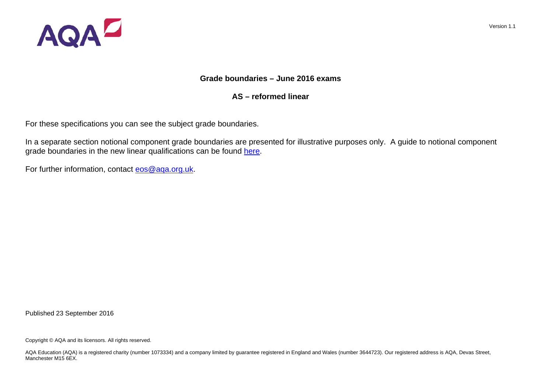

## **Grade boundaries – June 2016 exams**

# **AS – reformed linear**

For these specifications you can see the subject grade boundaries.

In a separate section notional component grade boundaries are presented for illustrative purposes only. A guide to notional component grade boundaries in the new linear qualifications can be found [here.](http://filestore.aqa.org.uk/pdf/AQA-NEW-LINEAR-QUALS.PDF) 

For further information, contact eos@aqa.org.uk.

Published 23 September 2016

Copyright © AQA and its licensors. All rights reserved.

AQA Education (AQA) is a registered charity (number 1073334) and a company limited by quarantee registered in England and Wales (number 3644723). Our registered address is AQA, Devas Street, Manchester M<sub>15</sub> 6FX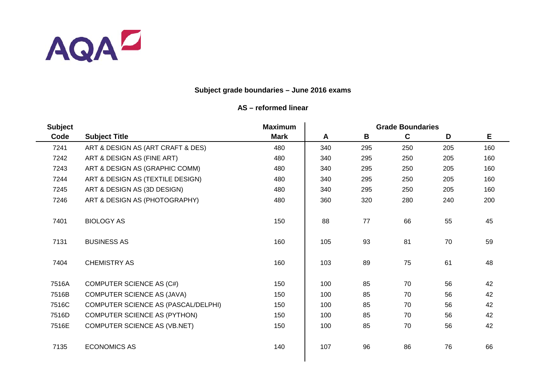

# **Subject grade boundaries – June 2016 exams**

| <b>Subject</b> |                                     | <b>Maximum</b> | <b>Grade Boundaries</b> |     |             |     |     |
|----------------|-------------------------------------|----------------|-------------------------|-----|-------------|-----|-----|
| Code           | <b>Subject Title</b>                | <b>Mark</b>    | A                       | B   | $\mathbf c$ | D   | E   |
| 7241           | ART & DESIGN AS (ART CRAFT & DES)   | 480            | 340                     | 295 | 250         | 205 | 160 |
| 7242           | ART & DESIGN AS (FINE ART)          | 480            | 340                     | 295 | 250         | 205 | 160 |
| 7243           | ART & DESIGN AS (GRAPHIC COMM)      | 480            | 340                     | 295 | 250         | 205 | 160 |
| 7244           | ART & DESIGN AS (TEXTILE DESIGN)    | 480            | 340                     | 295 | 250         | 205 | 160 |
| 7245           | ART & DESIGN AS (3D DESIGN)         | 480            | 340                     | 295 | 250         | 205 | 160 |
| 7246           | ART & DESIGN AS (PHOTOGRAPHY)       | 480            | 360                     | 320 | 280         | 240 | 200 |
| 7401           | <b>BIOLOGY AS</b>                   | 150            | 88                      | 77  | 66          | 55  | 45  |
| 7131           | <b>BUSINESS AS</b>                  | 160            | 105                     | 93  | 81          | 70  | 59  |
| 7404           | <b>CHEMISTRY AS</b>                 | 160            | 103                     | 89  | 75          | 61  | 48  |
| 7516A          | <b>COMPUTER SCIENCE AS (C#)</b>     | 150            | 100                     | 85  | 70          | 56  | 42  |
| 7516B          | COMPUTER SCIENCE AS (JAVA)          | 150            | 100                     | 85  | 70          | 56  | 42  |
| 7516C          | COMPUTER SCIENCE AS (PASCAL/DELPHI) | 150            | 100                     | 85  | 70          | 56  | 42  |
| 7516D          | <b>COMPUTER SCIENCE AS (PYTHON)</b> | 150            | 100                     | 85  | 70          | 56  | 42  |
| 7516E          | <b>COMPUTER SCIENCE AS (VB.NET)</b> | 150            | 100                     | 85  | 70          | 56  | 42  |
| 7135           | <b>ECONOMICS AS</b>                 | 140            | 107                     | 96  | 86          | 76  | 66  |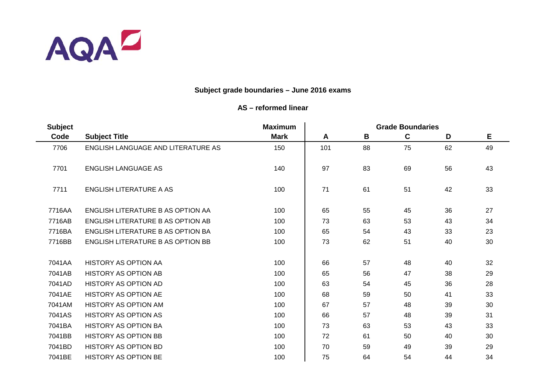

| <b>Subject</b> |                                    | <b>Maximum</b> | <b>Grade Boundaries</b> |    |    |    |    |  |
|----------------|------------------------------------|----------------|-------------------------|----|----|----|----|--|
| Code           | <b>Subject Title</b>               | <b>Mark</b>    | A                       | B  | C  | D  | E  |  |
| 7706           | ENGLISH LANGUAGE AND LITERATURE AS | 150            | 101                     | 88 | 75 | 62 | 49 |  |
| 7701           | <b>ENGLISH LANGUAGE AS</b>         | 140            | 97                      | 83 | 69 | 56 | 43 |  |
| 7711           | ENGLISH LITERATURE A AS            | 100            | 71                      | 61 | 51 | 42 | 33 |  |
| 7716AA         | ENGLISH LITERATURE B AS OPTION AA  | 100            | 65                      | 55 | 45 | 36 | 27 |  |
| 7716AB         | ENGLISH LITERATURE B AS OPTION AB  | 100            | 73                      | 63 | 53 | 43 | 34 |  |
| 7716BA         | ENGLISH LITERATURE B AS OPTION BA  | 100            | 65                      | 54 | 43 | 33 | 23 |  |
| 7716BB         | ENGLISH LITERATURE B AS OPTION BB  | 100            | 73                      | 62 | 51 | 40 | 30 |  |
| 7041AA         | <b>HISTORY AS OPTION AA</b>        | 100            | 66                      | 57 | 48 | 40 | 32 |  |
| 7041AB         | <b>HISTORY AS OPTION AB</b>        | 100            | 65                      | 56 | 47 | 38 | 29 |  |
| 7041AD         | HISTORY AS OPTION AD               | 100            | 63                      | 54 | 45 | 36 | 28 |  |
| 7041AE         | <b>HISTORY AS OPTION AE</b>        | 100            | 68                      | 59 | 50 | 41 | 33 |  |
| 7041AM         | <b>HISTORY AS OPTION AM</b>        | 100            | 67                      | 57 | 48 | 39 | 30 |  |
| 7041AS         | <b>HISTORY AS OPTION AS</b>        | 100            | 66                      | 57 | 48 | 39 | 31 |  |
| 7041BA         | <b>HISTORY AS OPTION BA</b>        | 100            | 73                      | 63 | 53 | 43 | 33 |  |
| 7041BB         | <b>HISTORY AS OPTION BB</b>        | 100            | 72                      | 61 | 50 | 40 | 30 |  |
| 7041BD         | <b>HISTORY AS OPTION BD</b>        | 100            | 70                      | 59 | 49 | 39 | 29 |  |
| 7041BE         | <b>HISTORY AS OPTION BE</b>        | 100            | 75                      | 64 | 54 | 44 | 34 |  |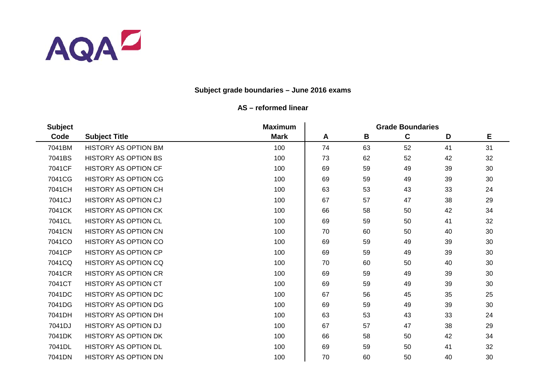

| <b>Subject</b> |                             | <b>Maximum</b> | <b>Grade Boundaries</b> |    |             |    |    |  |
|----------------|-----------------------------|----------------|-------------------------|----|-------------|----|----|--|
| Code           | <b>Subject Title</b>        | <b>Mark</b>    | A                       | B  | $\mathbf c$ | D  | Е  |  |
| 7041BM         | <b>HISTORY AS OPTION BM</b> | 100            | 74                      | 63 | 52          | 41 | 31 |  |
| 7041BS         | <b>HISTORY AS OPTION BS</b> | 100            | 73                      | 62 | 52          | 42 | 32 |  |
| 7041CF         | <b>HISTORY AS OPTION CF</b> | 100            | 69                      | 59 | 49          | 39 | 30 |  |
| 7041CG         | <b>HISTORY AS OPTION CG</b> | 100            | 69                      | 59 | 49          | 39 | 30 |  |
| 7041CH         | <b>HISTORY AS OPTION CH</b> | 100            | 63                      | 53 | 43          | 33 | 24 |  |
| 7041CJ         | <b>HISTORY AS OPTION CJ</b> | 100            | 67                      | 57 | 47          | 38 | 29 |  |
| 7041CK         | <b>HISTORY AS OPTION CK</b> | 100            | 66                      | 58 | 50          | 42 | 34 |  |
| 7041CL         | <b>HISTORY AS OPTION CL</b> | 100            | 69                      | 59 | 50          | 41 | 32 |  |
| 7041CN         | <b>HISTORY AS OPTION CN</b> | 100            | 70                      | 60 | 50          | 40 | 30 |  |
| 7041CO         | HISTORY AS OPTION CO        | 100            | 69                      | 59 | 49          | 39 | 30 |  |
| 7041CP         | <b>HISTORY AS OPTION CP</b> | 100            | 69                      | 59 | 49          | 39 | 30 |  |
| 7041CQ         | <b>HISTORY AS OPTION CQ</b> | 100            | 70                      | 60 | 50          | 40 | 30 |  |
| 7041CR         | <b>HISTORY AS OPTION CR</b> | 100            | 69                      | 59 | 49          | 39 | 30 |  |
| 7041CT         | <b>HISTORY AS OPTION CT</b> | 100            | 69                      | 59 | 49          | 39 | 30 |  |
| 7041DC         | <b>HISTORY AS OPTION DC</b> | 100            | 67                      | 56 | 45          | 35 | 25 |  |
| 7041DG         | <b>HISTORY AS OPTION DG</b> | 100            | 69                      | 59 | 49          | 39 | 30 |  |
| 7041DH         | <b>HISTORY AS OPTION DH</b> | 100            | 63                      | 53 | 43          | 33 | 24 |  |
| 7041DJ         | <b>HISTORY AS OPTION DJ</b> | 100            | 67                      | 57 | 47          | 38 | 29 |  |
| 7041DK         | <b>HISTORY AS OPTION DK</b> | 100            | 66                      | 58 | 50          | 42 | 34 |  |
| 7041DL         | <b>HISTORY AS OPTION DL</b> | 100            | 69                      | 59 | 50          | 41 | 32 |  |
| 7041DN         | <b>HISTORY AS OPTION DN</b> | 100            | 70                      | 60 | 50          | 40 | 30 |  |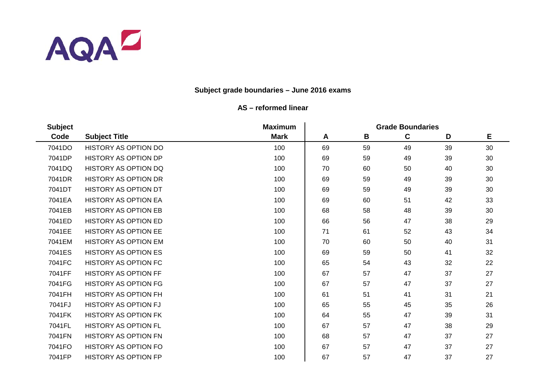

| <b>Subject</b> |                             | <b>Maximum</b> | <b>Grade Boundaries</b> |    |             |    |    |  |
|----------------|-----------------------------|----------------|-------------------------|----|-------------|----|----|--|
| Code           | <b>Subject Title</b>        | <b>Mark</b>    | A                       | B  | $\mathbf c$ | D  | Е  |  |
| 7041DO         | <b>HISTORY AS OPTION DO</b> | 100            | 69                      | 59 | 49          | 39 | 30 |  |
| 7041DP         | <b>HISTORY AS OPTION DP</b> | 100            | 69                      | 59 | 49          | 39 | 30 |  |
| 7041DQ         | <b>HISTORY AS OPTION DQ</b> | 100            | 70                      | 60 | 50          | 40 | 30 |  |
| 7041DR         | <b>HISTORY AS OPTION DR</b> | 100            | 69                      | 59 | 49          | 39 | 30 |  |
| 7041DT         | <b>HISTORY AS OPTION DT</b> | 100            | 69                      | 59 | 49          | 39 | 30 |  |
| 7041EA         | <b>HISTORY AS OPTION EA</b> | 100            | 69                      | 60 | 51          | 42 | 33 |  |
| 7041EB         | <b>HISTORY AS OPTION EB</b> | 100            | 68                      | 58 | 48          | 39 | 30 |  |
| 7041ED         | <b>HISTORY AS OPTION ED</b> | 100            | 66                      | 56 | 47          | 38 | 29 |  |
| 7041EE         | <b>HISTORY AS OPTION EE</b> | 100            | 71                      | 61 | 52          | 43 | 34 |  |
| 7041EM         | <b>HISTORY AS OPTION EM</b> | 100            | 70                      | 60 | 50          | 40 | 31 |  |
| 7041ES         | <b>HISTORY AS OPTION ES</b> | 100            | 69                      | 59 | 50          | 41 | 32 |  |
| 7041FC         | HISTORY AS OPTION FC        | 100            | 65                      | 54 | 43          | 32 | 22 |  |
| 7041FF         | <b>HISTORY AS OPTION FF</b> | 100            | 67                      | 57 | 47          | 37 | 27 |  |
| 7041FG         | <b>HISTORY AS OPTION FG</b> | 100            | 67                      | 57 | 47          | 37 | 27 |  |
| 7041FH         | <b>HISTORY AS OPTION FH</b> | 100            | 61                      | 51 | 41          | 31 | 21 |  |
| 7041FJ         | <b>HISTORY AS OPTION FJ</b> | 100            | 65                      | 55 | 45          | 35 | 26 |  |
| 7041FK         | <b>HISTORY AS OPTION FK</b> | 100            | 64                      | 55 | 47          | 39 | 31 |  |
| 7041FL         | <b>HISTORY AS OPTION FL</b> | 100            | 67                      | 57 | 47          | 38 | 29 |  |
| 7041FN         | <b>HISTORY AS OPTION FN</b> | 100            | 68                      | 57 | 47          | 37 | 27 |  |
| 7041FO         | <b>HISTORY AS OPTION FO</b> | 100            | 67                      | 57 | 47          | 37 | 27 |  |
| 7041FP         | <b>HISTORY AS OPTION FP</b> | 100            | 67                      | 57 | 47          | 37 | 27 |  |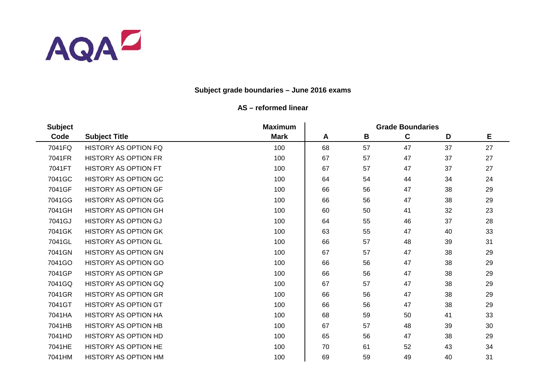

| <b>Subject</b> |                             | <b>Maximum</b> | <b>Grade Boundaries</b> |    |             |    |    |  |
|----------------|-----------------------------|----------------|-------------------------|----|-------------|----|----|--|
| Code           | <b>Subject Title</b>        | <b>Mark</b>    | A                       | B  | $\mathbf c$ | D  | Е  |  |
| 7041FQ         | <b>HISTORY AS OPTION FQ</b> | 100            | 68                      | 57 | 47          | 37 | 27 |  |
| 7041FR         | <b>HISTORY AS OPTION FR</b> | 100            | 67                      | 57 | 47          | 37 | 27 |  |
| 7041FT         | <b>HISTORY AS OPTION FT</b> | 100            | 67                      | 57 | 47          | 37 | 27 |  |
| 7041GC         | <b>HISTORY AS OPTION GC</b> | 100            | 64                      | 54 | 44          | 34 | 24 |  |
| 7041GF         | <b>HISTORY AS OPTION GF</b> | 100            | 66                      | 56 | 47          | 38 | 29 |  |
| 7041GG         | <b>HISTORY AS OPTION GG</b> | 100            | 66                      | 56 | 47          | 38 | 29 |  |
| 7041GH         | <b>HISTORY AS OPTION GH</b> | 100            | 60                      | 50 | 41          | 32 | 23 |  |
| 7041GJ         | <b>HISTORY AS OPTION GJ</b> | 100            | 64                      | 55 | 46          | 37 | 28 |  |
| 7041GK         | <b>HISTORY AS OPTION GK</b> | 100            | 63                      | 55 | 47          | 40 | 33 |  |
| 7041GL         | <b>HISTORY AS OPTION GL</b> | 100            | 66                      | 57 | 48          | 39 | 31 |  |
| 7041GN         | <b>HISTORY AS OPTION GN</b> | 100            | 67                      | 57 | 47          | 38 | 29 |  |
| 7041GO         | <b>HISTORY AS OPTION GO</b> | 100            | 66                      | 56 | 47          | 38 | 29 |  |
| 7041GP         | <b>HISTORY AS OPTION GP</b> | 100            | 66                      | 56 | 47          | 38 | 29 |  |
| 7041GQ         | <b>HISTORY AS OPTION GQ</b> | 100            | 67                      | 57 | 47          | 38 | 29 |  |
| 7041GR         | <b>HISTORY AS OPTION GR</b> | 100            | 66                      | 56 | 47          | 38 | 29 |  |
| 7041GT         | <b>HISTORY AS OPTION GT</b> | 100            | 66                      | 56 | 47          | 38 | 29 |  |
| 7041HA         | <b>HISTORY AS OPTION HA</b> | 100            | 68                      | 59 | 50          | 41 | 33 |  |
| 7041HB         | <b>HISTORY AS OPTION HB</b> | 100            | 67                      | 57 | 48          | 39 | 30 |  |
| 7041HD         | <b>HISTORY AS OPTION HD</b> | 100            | 65                      | 56 | 47          | 38 | 29 |  |
| 7041HE         | <b>HISTORY AS OPTION HE</b> | 100            | 70                      | 61 | 52          | 43 | 34 |  |
| 7041HM         | <b>HISTORY AS OPTION HM</b> | 100            | 69                      | 59 | 49          | 40 | 31 |  |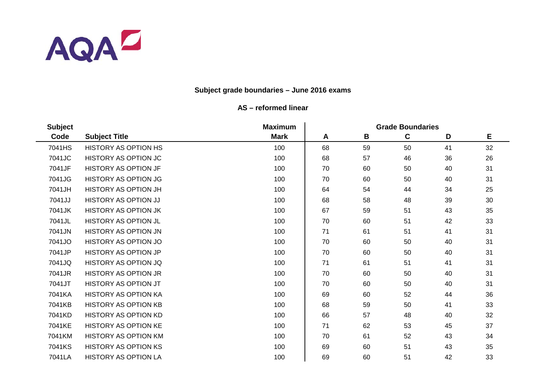

| <b>Subject</b> |                             | <b>Maximum</b> | <b>Grade Boundaries</b> |    |    |    |    |  |
|----------------|-----------------------------|----------------|-------------------------|----|----|----|----|--|
| Code           | <b>Subject Title</b>        | <b>Mark</b>    | A                       | B  | C  | D  | E  |  |
| 7041HS         | <b>HISTORY AS OPTION HS</b> | 100            | 68                      | 59 | 50 | 41 | 32 |  |
| 7041JC         | <b>HISTORY AS OPTION JC</b> | 100            | 68                      | 57 | 46 | 36 | 26 |  |
| 7041JF         | <b>HISTORY AS OPTION JF</b> | 100            | 70                      | 60 | 50 | 40 | 31 |  |
| 7041JG         | <b>HISTORY AS OPTION JG</b> | 100            | 70                      | 60 | 50 | 40 | 31 |  |
| 7041JH         | HISTORY AS OPTION JH        | 100            | 64                      | 54 | 44 | 34 | 25 |  |
| 7041JJ         | HISTORY AS OPTION JJ        | 100            | 68                      | 58 | 48 | 39 | 30 |  |
| 7041JK         | <b>HISTORY AS OPTION JK</b> | 100            | 67                      | 59 | 51 | 43 | 35 |  |
| 7041JL         | <b>HISTORY AS OPTION JL</b> | 100            | 70                      | 60 | 51 | 42 | 33 |  |
| 7041JN         | HISTORY AS OPTION JN        | 100            | 71                      | 61 | 51 | 41 | 31 |  |
| 7041JO         | HISTORY AS OPTION JO        | 100            | 70                      | 60 | 50 | 40 | 31 |  |
| 7041JP         | <b>HISTORY AS OPTION JP</b> | 100            | 70                      | 60 | 50 | 40 | 31 |  |
| 7041JQ         | HISTORY AS OPTION JQ        | 100            | 71                      | 61 | 51 | 41 | 31 |  |
| 7041JR         | <b>HISTORY AS OPTION JR</b> | 100            | 70                      | 60 | 50 | 40 | 31 |  |
| 7041JT         | <b>HISTORY AS OPTION JT</b> | 100            | 70                      | 60 | 50 | 40 | 31 |  |
| 7041KA         | <b>HISTORY AS OPTION KA</b> | 100            | 69                      | 60 | 52 | 44 | 36 |  |
| 7041KB         | <b>HISTORY AS OPTION KB</b> | 100            | 68                      | 59 | 50 | 41 | 33 |  |
| 7041KD         | <b>HISTORY AS OPTION KD</b> | 100            | 66                      | 57 | 48 | 40 | 32 |  |
| 7041KE         | <b>HISTORY AS OPTION KE</b> | 100            | 71                      | 62 | 53 | 45 | 37 |  |
| 7041KM         | <b>HISTORY AS OPTION KM</b> | 100            | 70                      | 61 | 52 | 43 | 34 |  |
| 7041KS         | <b>HISTORY AS OPTION KS</b> | 100            | 69                      | 60 | 51 | 43 | 35 |  |
| 7041LA         | <b>HISTORY AS OPTION LA</b> | 100            | 69                      | 60 | 51 | 42 | 33 |  |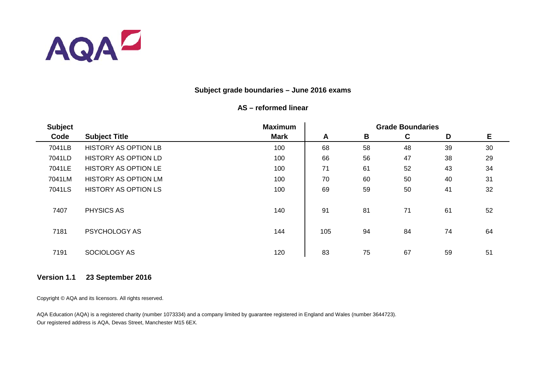

## **AS – reformed linear**

| <b>Subject</b> |                             | <b>Maximum</b> |     | <b>Grade Boundaries</b> |    |    |    |  |  |
|----------------|-----------------------------|----------------|-----|-------------------------|----|----|----|--|--|
| Code           | <b>Subject Title</b>        | <b>Mark</b>    | A   | B                       | C  | D  | E  |  |  |
| 7041LB         | <b>HISTORY AS OPTION LB</b> | 100            | 68  | 58                      | 48 | 39 | 30 |  |  |
| 7041LD         | <b>HISTORY AS OPTION LD</b> | 100            | 66  | 56                      | 47 | 38 | 29 |  |  |
| 7041LE         | <b>HISTORY AS OPTION LE</b> | 100            | 71  | 61                      | 52 | 43 | 34 |  |  |
| 7041LM         | <b>HISTORY AS OPTION LM</b> | 100            | 70  | 60                      | 50 | 40 | 31 |  |  |
| 7041LS         | <b>HISTORY AS OPTION LS</b> | 100            | 69  | 59                      | 50 | 41 | 32 |  |  |
| 7407           | PHYSICS AS                  | 140            | 91  | 81                      | 71 | 61 | 52 |  |  |
| 7181           | PSYCHOLOGY AS               | 144            | 105 | 94                      | 84 | 74 | 64 |  |  |
| 7191           | SOCIOLOGY AS                | 120            | 83  | 75                      | 67 | 59 | 51 |  |  |

## **Version 1.1 23 September 2016**

Copyright © AQA and its licensors. All rights reserved.

AQA Education (AQA) is a registered charity (number 1073334) and a company limited by guarantee registered in England and Wales (number 3644723). Our registered address is AQA, Devas Street, Manchester M15 6EX.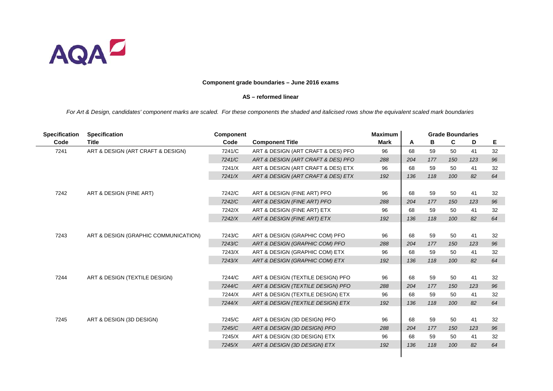

#### **AS – reformed linear**

| <b>Specification</b> | <b>Specification</b>                 | <b>Component</b> |                                    | <b>Maximum</b> |     |     | <b>Grade Boundaries</b> |     |    |
|----------------------|--------------------------------------|------------------|------------------------------------|----------------|-----|-----|-------------------------|-----|----|
| Code                 | <b>Title</b>                         | Code             | <b>Component Title</b>             | <b>Mark</b>    | A   | В   | C                       | D   | Е  |
| 7241                 | ART & DESIGN (ART CRAFT & DESIGN)    | 7241/C           | ART & DESIGN (ART CRAFT & DES) PFO | 96             | 68  | 59  | 50                      | 41  | 32 |
|                      |                                      | 7241/C           | ART & DESIGN (ART CRAFT & DES) PFO | 288            | 204 | 177 | 150                     | 123 | 96 |
|                      |                                      | 7241/X           | ART & DESIGN (ART CRAFT & DES) ETX | 96             | 68  | 59  | 50                      | 41  | 32 |
|                      |                                      | 7241/X           | ART & DESIGN (ART CRAFT & DES) ETX | 192            | 136 | 118 | 100                     | 82  | 64 |
|                      |                                      |                  |                                    |                |     |     |                         |     |    |
| 7242                 | ART & DESIGN (FINE ART)              | 7242/C           | ART & DESIGN (FINE ART) PFO        | 96             | 68  | 59  | 50                      | 41  | 32 |
|                      |                                      | 7242/C           | ART & DESIGN (FINE ART) PFO        | 288            | 204 | 177 | 150                     | 123 | 96 |
|                      |                                      | 7242/X           | ART & DESIGN (FINE ART) ETX        | 96             | 68  | 59  | 50                      | 41  | 32 |
|                      |                                      | 7242/X           | ART & DESIGN (FINE ART) ETX        | 192            | 136 | 118 | 100                     | 82  | 64 |
|                      |                                      |                  |                                    |                |     |     |                         |     |    |
| 7243                 | ART & DESIGN (GRAPHIC COMMUNICATION) | 7243/C           | ART & DESIGN (GRAPHIC COM) PFO     | 96             | 68  | 59  | 50                      | 41  | 32 |
|                      |                                      | 7243/C           | ART & DESIGN (GRAPHIC COM) PFO     | 288            | 204 | 177 | 150                     | 123 | 96 |
|                      |                                      | 7243/X           | ART & DESIGN (GRAPHIC COM) ETX     | 96             | 68  | 59  | 50                      | 41  | 32 |
|                      |                                      | 7243/X           | ART & DESIGN (GRAPHIC COM) ETX     | 192            | 136 | 118 | 100                     | 82  | 64 |
|                      |                                      |                  |                                    |                |     |     |                         |     |    |
| 7244                 | ART & DESIGN (TEXTILE DESIGN)        | 7244/C           | ART & DESIGN (TEXTILE DESIGN) PFO  | 96             | 68  | 59  | 50                      | 41  | 32 |
|                      |                                      | 7244/C           | ART & DESIGN (TEXTILE DESIGN) PFO  | 288            | 204 | 177 | 150                     | 123 | 96 |
|                      |                                      | 7244/X           | ART & DESIGN (TEXTILE DESIGN) ETX  | 96             | 68  | 59  | 50                      | 41  | 32 |
|                      |                                      | 7244/X           | ART & DESIGN (TEXTILE DESIGN) ETX  | 192            | 136 | 118 | 100                     | 82  | 64 |
|                      |                                      |                  |                                    |                |     |     |                         |     |    |
| 7245                 | ART & DESIGN (3D DESIGN)             | 7245/C           | ART & DESIGN (3D DESIGN) PFO       | 96             | 68  | 59  | 50                      | 41  | 32 |
|                      |                                      | 7245/C           | ART & DESIGN (3D DESIGN) PFO       | 288            | 204 | 177 | 150                     | 123 | 96 |
|                      |                                      | 7245/X           | ART & DESIGN (3D DESIGN) ETX       | 96             | 68  | 59  | 50                      | 41  | 32 |
|                      |                                      | 7245/X           | ART & DESIGN (3D DESIGN) ETX       | 192            | 136 | 118 | 100                     | 82  | 64 |
|                      |                                      |                  |                                    |                |     |     |                         |     |    |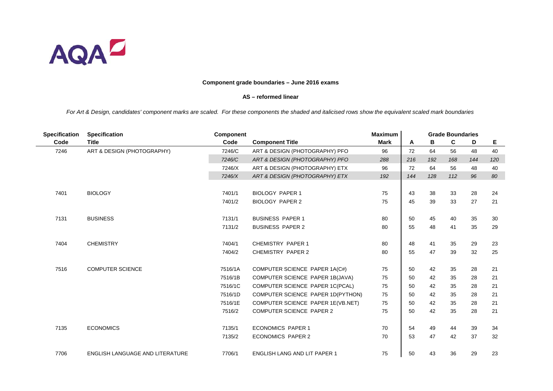

#### **AS – reformed linear**

| <b>Specification</b> | <b>Specification</b>                   | <b>Component</b> |                                     | <b>Maximum</b> |     |     | <b>Grade Boundaries</b> |     |     |
|----------------------|----------------------------------------|------------------|-------------------------------------|----------------|-----|-----|-------------------------|-----|-----|
| Code                 | <b>Title</b>                           | Code             | <b>Component Title</b>              | <b>Mark</b>    | A   | в   | C                       | D   | Е   |
| 7246                 | ART & DESIGN (PHOTOGRAPHY)             | 7246/C           | ART & DESIGN (PHOTOGRAPHY) PFO      | 96             | 72  | 64  | 56                      | 48  | 40  |
|                      |                                        | 7246/C           | ART & DESIGN (PHOTOGRAPHY) PFO      | 288            | 216 | 192 | 168                     | 144 | 120 |
|                      |                                        | 7246/X           | ART & DESIGN (PHOTOGRAPHY) ETX      | 96             | 72  | 64  | 56                      | 48  | 40  |
|                      |                                        | 7246/X           | ART & DESIGN (PHOTOGRAPHY) ETX      | 192            | 144 | 128 | 112                     | 96  | 80  |
|                      |                                        |                  |                                     |                |     |     |                         |     |     |
| 7401                 | <b>BIOLOGY</b>                         | 7401/1           | <b>BIOLOGY PAPER 1</b>              | 75             | 43  | 38  | 33                      | 28  | 24  |
|                      |                                        | 7401/2           | <b>BIOLOGY PAPER 2</b>              | 75             | 45  | 39  | 33                      | 27  | 21  |
|                      |                                        |                  |                                     |                |     |     |                         |     |     |
| 7131                 | <b>BUSINESS</b>                        | 7131/1           | <b>BUSINESS PAPER 1</b>             | 80             | 50  | 45  | 40                      | 35  | 30  |
|                      |                                        | 7131/2           | <b>BUSINESS PAPER 2</b>             | 80             | 55  | 48  | 41                      | 35  | 29  |
|                      |                                        |                  |                                     |                |     |     |                         |     |     |
| 7404                 | <b>CHEMISTRY</b>                       | 7404/1           | <b>CHEMISTRY PAPER 1</b>            | 80             | 48  | 41  | 35                      | 29  | 23  |
|                      |                                        | 7404/2           | <b>CHEMISTRY PAPER 2</b>            | 80             | 55  | 47  | 39                      | 32  | 25  |
|                      |                                        |                  |                                     |                |     |     |                         |     |     |
| 7516                 | <b>COMPUTER SCIENCE</b>                | 7516/1A          | COMPUTER SCIENCE PAPER 1A(C#)       | 75             | 50  | 42  | 35                      | 28  | 21  |
|                      |                                        | 7516/1B          | COMPUTER SCIENCE PAPER 1B(JAVA)     | 75             | 50  | 42  | 35                      | 28  | 21  |
|                      |                                        | 7516/1C          | COMPUTER SCIENCE PAPER 1C(PCAL)     | 75             | 50  | 42  | 35                      | 28  | 21  |
|                      |                                        | 7516/1D          | COMPUTER SCIENCE PAPER 1D(PYTHON)   | 75             | 50  | 42  | 35                      | 28  | 21  |
|                      |                                        | 7516/1E          | COMPUTER SCIENCE PAPER 1E(VB.NET)   | 75             | 50  | 42  | 35                      | 28  | 21  |
|                      |                                        | 7516/2           | <b>COMPUTER SCIENCE PAPER 2</b>     | 75             | 50  | 42  | 35                      | 28  | 21  |
|                      |                                        |                  |                                     |                |     |     |                         |     |     |
| 7135                 | <b>ECONOMICS</b>                       | 7135/1           | <b>ECONOMICS PAPER 1</b>            | 70             | 54  | 49  | 44                      | 39  | 34  |
|                      |                                        | 7135/2           | <b>ECONOMICS PAPER 2</b>            | 70             | 53  | 47  | 42                      | 37  | 32  |
|                      |                                        |                  |                                     |                |     |     |                         |     |     |
| 7706                 | <b>ENGLISH LANGUAGE AND LITERATURE</b> | 7706/1           | <b>ENGLISH LANG AND LIT PAPER 1</b> | 75             | 50  | 43  | 36                      | 29  | 23  |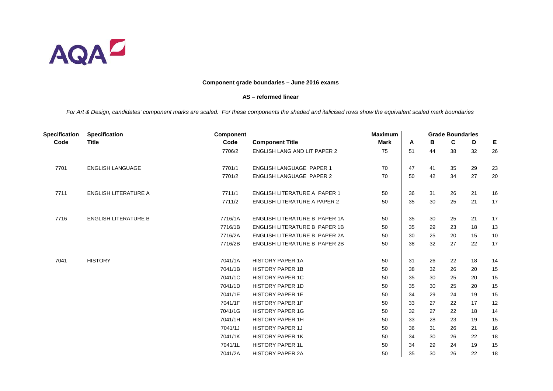

#### **AS – reformed linear**

| <b>Specification</b> | <b>Specification</b>        | <b>Component</b> |                                     | <b>Maximum</b> |    |    | <b>Grade Boundaries</b> |    |    |
|----------------------|-----------------------------|------------------|-------------------------------------|----------------|----|----|-------------------------|----|----|
| Code                 | <b>Title</b>                | Code             | <b>Component Title</b>              | <b>Mark</b>    | A  | В  | C                       | D  | Е  |
|                      |                             | 7706/2           | <b>ENGLISH LANG AND LIT PAPER 2</b> | 75             | 51 | 44 | 38                      | 32 | 26 |
|                      |                             |                  |                                     |                |    |    |                         |    |    |
| 7701                 | <b>ENGLISH LANGUAGE</b>     | 7701/1           | <b>ENGLISH LANGUAGE PAPER 1</b>     | 70             | 47 | 41 | 35                      | 29 | 23 |
|                      |                             | 7701/2           | <b>ENGLISH LANGUAGE PAPER 2</b>     | 70             | 50 | 42 | 34                      | 27 | 20 |
|                      |                             |                  |                                     |                |    |    |                         |    |    |
| 7711                 | <b>ENGLISH LITERATURE A</b> | 7711/1           | ENGLISH LITERATURE A PAPER 1        | 50             | 36 | 31 | 26                      | 21 | 16 |
|                      |                             | 7711/2           | <b>ENGLISH LITERATURE A PAPER 2</b> | 50             | 35 | 30 | 25                      | 21 | 17 |
|                      |                             |                  |                                     |                |    |    |                         |    |    |
| 7716                 | <b>ENGLISH LITERATURE B</b> | 7716/1A          | ENGLISH LITERATURE B PAPER 1A       | 50             | 35 | 30 | 25                      | 21 | 17 |
|                      |                             | 7716/1B          | ENGLISH LITERATURE B PAPER 1B       | 50             | 35 | 29 | 23                      | 18 | 13 |
|                      |                             | 7716/2A          | ENGLISH LITERATURE B PAPER 2A       | 50             | 30 | 25 | 20                      | 15 | 10 |
|                      |                             | 7716/2B          | ENGLISH LITERATURE B PAPER 2B       | 50             | 38 | 32 | 27                      | 22 | 17 |
|                      |                             |                  |                                     |                |    |    |                         |    |    |
| 7041                 | <b>HISTORY</b>              | 7041/1A          | <b>HISTORY PAPER 1A</b>             | 50             | 31 | 26 | 22                      | 18 | 14 |
|                      |                             | 7041/1B          | <b>HISTORY PAPER 1B</b>             | 50             | 38 | 32 | 26                      | 20 | 15 |
|                      |                             | 7041/1C          | <b>HISTORY PAPER 1C</b>             | 50             | 35 | 30 | 25                      | 20 | 15 |
|                      |                             | 7041/1D          | <b>HISTORY PAPER 1D</b>             | 50             | 35 | 30 | 25                      | 20 | 15 |
|                      |                             | 7041/1E          | <b>HISTORY PAPER 1E</b>             | 50             | 34 | 29 | 24                      | 19 | 15 |
|                      |                             | 7041/1F          | <b>HISTORY PAPER 1F</b>             | 50             | 33 | 27 | 22                      | 17 | 12 |
|                      |                             | 7041/1G          | <b>HISTORY PAPER 1G</b>             | 50             | 32 | 27 | 22                      | 18 | 14 |
|                      |                             | 7041/1H          | <b>HISTORY PAPER 1H</b>             | 50             | 33 | 28 | 23                      | 19 | 15 |
|                      |                             | 7041/1J          | HISTORY PAPER 1J                    | 50             | 36 | 31 | 26                      | 21 | 16 |
|                      |                             | 7041/1K          | <b>HISTORY PAPER 1K</b>             | 50             | 34 | 30 | 26                      | 22 | 18 |
|                      |                             | 7041/1L          | <b>HISTORY PAPER 1L</b>             | 50             | 34 | 29 | 24                      | 19 | 15 |
|                      |                             | 7041/2A          | <b>HISTORY PAPER 2A</b>             | 50             | 35 | 30 | 26                      | 22 | 18 |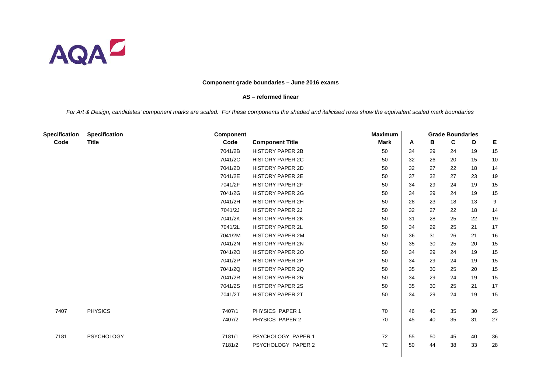

#### **AS – reformed linear**

| <b>Specification</b> | <b>Specification</b> | <b>Component</b> |                         | <b>Maximum</b> |    |    | <b>Grade Boundaries</b> |    |    |
|----------------------|----------------------|------------------|-------------------------|----------------|----|----|-------------------------|----|----|
| Code                 | <b>Title</b>         | Code             | <b>Component Title</b>  | <b>Mark</b>    | A  | В  | C                       | D  | Е  |
|                      |                      | 7041/2B          | <b>HISTORY PAPER 2B</b> | 50             | 34 | 29 | 24                      | 19 | 15 |
|                      |                      | 7041/2C          | <b>HISTORY PAPER 2C</b> | 50             | 32 | 26 | 20                      | 15 | 10 |
|                      |                      | 7041/2D          | <b>HISTORY PAPER 2D</b> | 50             | 32 | 27 | 22                      | 18 | 14 |
|                      |                      | 7041/2E          | <b>HISTORY PAPER 2E</b> | 50             | 37 | 32 | 27                      | 23 | 19 |
|                      |                      | 7041/2F          | <b>HISTORY PAPER 2F</b> | 50             | 34 | 29 | 24                      | 19 | 15 |
|                      |                      | 7041/2G          | <b>HISTORY PAPER 2G</b> | 50             | 34 | 29 | 24                      | 19 | 15 |
|                      |                      | 7041/2H          | <b>HISTORY PAPER 2H</b> | 50             | 28 | 23 | 18                      | 13 | 9  |
|                      |                      | 7041/2J          | <b>HISTORY PAPER 2J</b> | 50             | 32 | 27 | 22                      | 18 | 14 |
|                      |                      | 7041/2K          | <b>HISTORY PAPER 2K</b> | 50             | 31 | 28 | 25                      | 22 | 19 |
|                      |                      | 7041/2L          | <b>HISTORY PAPER 2L</b> | 50             | 34 | 29 | 25                      | 21 | 17 |
|                      |                      | 7041/2M          | <b>HISTORY PAPER 2M</b> | 50             | 36 | 31 | 26                      | 21 | 16 |
|                      |                      | 7041/2N          | <b>HISTORY PAPER 2N</b> | 50             | 35 | 30 | 25                      | 20 | 15 |
|                      |                      | 7041/20          | <b>HISTORY PAPER 20</b> | 50             | 34 | 29 | 24                      | 19 | 15 |
|                      |                      | 7041/2P          | <b>HISTORY PAPER 2P</b> | 50             | 34 | 29 | 24                      | 19 | 15 |
|                      |                      | 7041/2Q          | <b>HISTORY PAPER 2Q</b> | 50             | 35 | 30 | 25                      | 20 | 15 |
|                      |                      | 7041/2R          | <b>HISTORY PAPER 2R</b> | 50             | 34 | 29 | 24                      | 19 | 15 |
|                      |                      | 7041/2S          | <b>HISTORY PAPER 2S</b> | 50             | 35 | 30 | 25                      | 21 | 17 |
|                      |                      | 7041/2T          | <b>HISTORY PAPER 2T</b> | 50             | 34 | 29 | 24                      | 19 | 15 |
|                      |                      |                  |                         |                |    |    |                         |    |    |
| 7407                 | <b>PHYSICS</b>       | 7407/1           | PHYSICS PAPER 1         | 70             | 46 | 40 | 35                      | 30 | 25 |
|                      |                      | 7407/2           | PHYSICS PAPER 2         | 70             | 45 | 40 | 35                      | 31 | 27 |
|                      |                      |                  |                         |                |    |    |                         |    |    |
| 7181                 | <b>PSYCHOLOGY</b>    | 7181/1           | PSYCHOLOGY PAPER 1      | 72             | 55 | 50 | 45                      | 40 | 36 |
|                      |                      | 7181/2           | PSYCHOLOGY PAPER 2      | 72             | 50 | 44 | 38                      | 33 | 28 |
|                      |                      |                  |                         |                |    |    |                         |    |    |